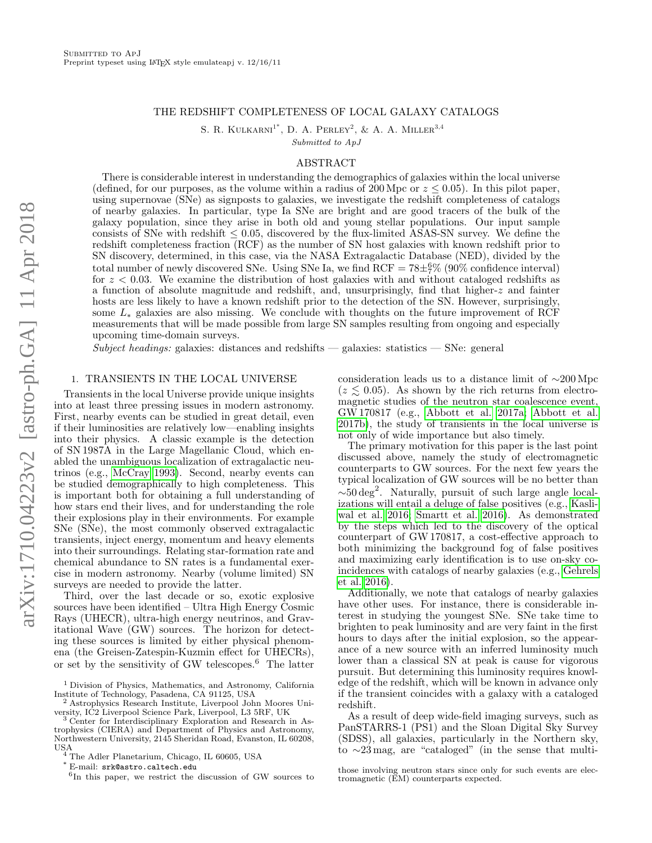# THE REDSHIFT COMPLETENESS OF LOCAL GALAXY CATALOGS

S. R. KULKARNI<sup>1\*</sup>, D. A. PERLEY<sup>2</sup>, & A. A. MILLER<sup>3,4</sup> Submitted to ApJ

# ABSTRACT

There is considerable interest in understanding the demographics of galaxies within the local universe (defined, for our purposes, as the volume within a radius of 200 Mpc or  $z \le 0.05$ ). In this pilot paper, using supernovae (SNe) as signposts to galaxies, we investigate the redshift completeness of catalogs of nearby galaxies. In particular, type Ia SNe are bright and are good tracers of the bulk of the galaxy population, since they arise in both old and young stellar populations. Our input sample consists of SNe with redshift  $\leq 0.05$ , discovered by the flux-limited ASAS-SN survey. We define the redshift completeness fraction (RCF) as the number of SN host galaxies with known redshift prior to SN discovery, determined, in this case, via the NASA Extragalactic Database (NED), divided by the total number of newly discovered SNe. Using SNe Ia, we find  $RCF = 78 \pm \frac{6}{7}$ % (90% confidence interval) for  $z < 0.03$ . We examine the distribution of host galaxies with and without cataloged redshifts as a function of absolute magnitude and redshift, and, unsurprisingly, find that higher-z and fainter hosts are less likely to have a known redshift prior to the detection of the SN. However, surprisingly, some L<sup>∗</sup> galaxies are also missing. We conclude with thoughts on the future improvement of RCF measurements that will be made possible from large SN samples resulting from ongoing and especially upcoming time-domain surveys.

 $Subject$  headings: galaxies: distances and redshifts — galaxies: statistics — SNe: general

# 1. TRANSIENTS IN THE LOCAL UNIVERSE

Transients in the local Universe provide unique insights into at least three pressing issues in modern astronomy. First, nearby events can be studied in great detail, even if their luminosities are relatively low—enabling insights into their physics. A classic example is the detection of SN 1987A in the Large Magellanic Cloud, which enabled the unambiguous localization of extragalactic neutrinos (e.g., [McCray 1993\)](#page-6-0). Second, nearby events can be studied demographically to high completeness. This is important both for obtaining a full understanding of how stars end their lives, and for understanding the role their explosions play in their environments. For example SNe (SNe), the most commonly observed extragalactic transients, inject energy, momentum and heavy elements into their surroundings. Relating star-formation rate and chemical abundance to SN rates is a fundamental exercise in modern astronomy. Nearby (volume limited) SN surveys are needed to provide the latter.

Third, over the last decade or so, exotic explosive sources have been identified – Ultra High Energy Cosmic Rays (UHECR), ultra-high energy neutrinos, and Gravitational Wave (GW) sources. The horizon for detecting these sources is limited by either physical phenomena (the Greisen-Zatespin-Kuzmin effect for UHECRs), or set by the sensitivity of GW telescopes.<sup>6</sup> The latter

<sup>2</sup> Astrophysics Research Institute, Liverpool John Moores University, IC2 Liverpool Science Park, Liverpool, L3 5RF, UK

\* E-mail: srk@astro.caltech.edu

consideration leads us to a distance limit of ∼200 Mpc  $(z \leq 0.05)$ . As shown by the rich returns from electromagnetic studies of the neutron star coalescence event, GW 170817 (e.g., [Abbott et al. 2017a;](#page-6-1) [Abbott et al.](#page-6-2) [2017b\)](#page-6-2), the study of transients in the local universe is not only of wide importance but also timely.

The primary motivation for this paper is the last point discussed above, namely the study of electromagnetic counterparts to GW sources. For the next few years the typical localization of GW sources will be no better than ∼50 deg<sup>2</sup> . Naturally, pursuit of such large angle localizations will entail a deluge of false positives (e.g., [Kasli](#page-6-3)[wal et al. 2016;](#page-6-3) [Smartt et al. 2016\)](#page-6-4). As demonstrated by the steps which led to the discovery of the optical counterpart of GW 170817, a cost-effective approach to both minimizing the background fog of false positives and maximizing early identification is to use on-sky coincidences with catalogs of nearby galaxies (e.g., [Gehrels](#page-6-5) [et al. 2016\)](#page-6-5).

Additionally, we note that catalogs of nearby galaxies have other uses. For instance, there is considerable interest in studying the youngest SNe. SNe take time to brighten to peak luminosity and are very faint in the first hours to days after the initial explosion, so the appearance of a new source with an inferred luminosity much lower than a classical SN at peak is cause for vigorous pursuit. But determining this luminosity requires knowledge of the redshift, which will be known in advance only if the transient coincides with a galaxy with a cataloged redshift.

As a result of deep wide-field imaging surveys, such as PanSTARRS-1 (PS1) and the Sloan Digital Sky Survey (SDSS), all galaxies, particularly in the Northern sky, to ∼23 mag, are "cataloged" (in the sense that multi-

those involving neutron stars since only for such events are electromagnetic (EM) counterparts expected.

<sup>&</sup>lt;sup>1</sup> Division of Physics, Mathematics, and Astronomy, California Institute of Technology, Pasadena, CA 91125, USA

<sup>&</sup>lt;sup>3</sup> Center for Interdisciplinary Exploration and Research in Astrophysics (CIERA) and Department of Physics and Astronomy, Northwestern University, 2145 Sheridan Road, Evanston, IL 60208,

USA <sup>4</sup> The Adler Planetarium, Chicago, IL 60605, USA

<sup>6</sup> In this paper, we restrict the discussion of GW sources to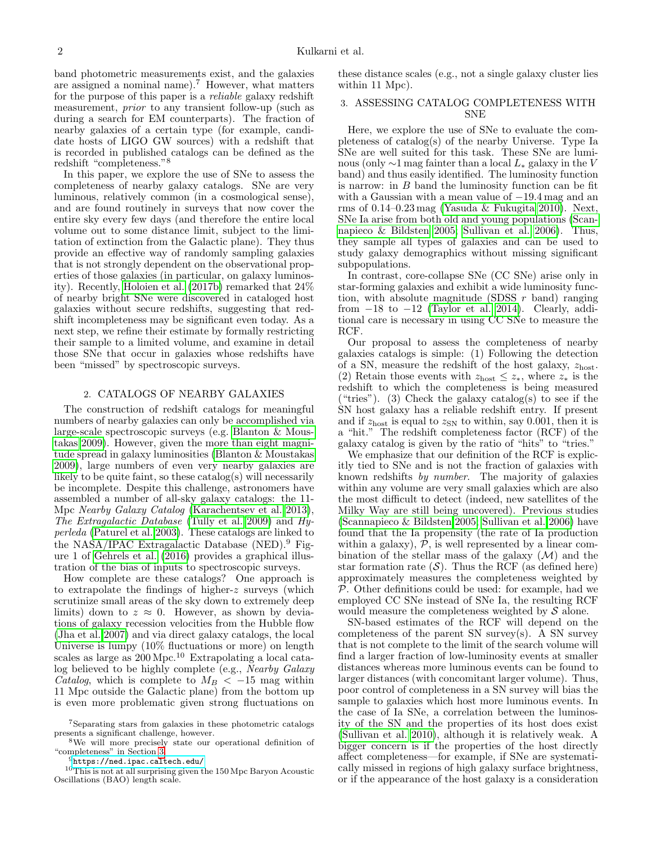band photometric measurements exist, and the galaxies are assigned a nominal name).<sup>7</sup> However, what matters for the purpose of this paper is a reliable galaxy redshift measurement, prior to any transient follow-up (such as during a search for EM counterparts). The fraction of nearby galaxies of a certain type (for example, candidate hosts of LIGO GW sources) with a redshift that is recorded in published catalogs can be defined as the redshift "completeness."<sup>8</sup>

In this paper, we explore the use of SNe to assess the completeness of nearby galaxy catalogs. SNe are very luminous, relatively common (in a cosmological sense), and are found routinely in surveys that now cover the entire sky every few days (and therefore the entire local volume out to some distance limit, subject to the limitation of extinction from the Galactic plane). They thus provide an effective way of randomly sampling galaxies that is not strongly dependent on the observational properties of those galaxies (in particular, on galaxy luminosity). Recently, [Holoien et al.](#page-6-6) [\(2017b\)](#page-6-6) remarked that 24% of nearby bright SNe were discovered in cataloged host galaxies without secure redshifts, suggesting that redshift incompleteness may be significant even today. As a next step, we refine their estimate by formally restricting their sample to a limited volume, and examine in detail those SNe that occur in galaxies whose redshifts have been "missed" by spectroscopic surveys.

# 2. CATALOGS OF NEARBY GALAXIES

The construction of redshift catalogs for meaningful numbers of nearby galaxies can only be accomplished via large-scale spectroscopic surveys (e.g. [Blanton & Mous](#page-6-7)[takas 2009\)](#page-6-7). However, given the more than eight magnitude spread in galaxy luminosities [\(Blanton & Moustakas](#page-6-7) [2009\)](#page-6-7), large numbers of even very nearby galaxies are likely to be quite faint, so these catalog(s) will necessarily be incomplete. Despite this challenge, astronomers have assembled a number of all-sky galaxy catalogs: the 11- Mpc Nearby Galaxy Catalog [\(Karachentsev et al. 2013\)](#page-6-8), The Extragalactic Database [\(Tully et al. 2009\)](#page-6-9) and  $H_y$ perleda [\(Paturel et al. 2003\)](#page-6-10). These catalogs are linked to the NASA/IPAC Extragalactic Database (NED).<sup>9</sup> Figure 1 of [Gehrels et al.](#page-6-5) [\(2016\)](#page-6-5) provides a graphical illustration of the bias of inputs to spectroscopic surveys.

How complete are these catalogs? One approach is to extrapolate the findings of higher-z surveys (which scrutinize small areas of the sky down to extremely deep limits) down to  $z \approx 0$ . However, as shown by deviations of galaxy recession velocities from the Hubble flow [\(Jha et al. 2007\)](#page-6-11) and via direct galaxy catalogs, the local Universe is lumpy (10% fluctuations or more) on length scales as large as  $200 \text{ Mpc}$ .<sup>10</sup> Extrapolating a local catalog believed to be highly complete (e.g., Nearby Galaxy Catalog, which is complete to  $M_B < -15$  mag within 11 Mpc outside the Galactic plane) from the bottom up is even more problematic given strong fluctuations on

these distance scales (e.g., not a single galaxy cluster lies within 11 Mpc).

# <span id="page-1-0"></span>3. ASSESSING CATALOG COMPLETENESS WITH SNE

Here, we explore the use of SNe to evaluate the completeness of catalog(s) of the nearby Universe. Type Ia SNe are well suited for this task. These SNe are luminous (only  $\sim$ 1 mag fainter than a local  $L_*$  galaxy in the V band) and thus easily identified. The luminosity function is narrow: in  $B$  band the luminosity function can be fit with a Gaussian with a mean value of  $-19.4$  mag and an rms of 0.14–0.23 mag [\(Yasuda & Fukugita 2010\)](#page-6-12). Next, SNe Ia arise from both old and young populations [\(Scan](#page-6-13)[napieco & Bildsten 2005;](#page-6-13) [Sullivan et al. 2006\)](#page-6-14). Thus, they sample all types of galaxies and can be used to study galaxy demographics without missing significant subpopulations.

In contrast, core-collapse SNe (CC SNe) arise only in star-forming galaxies and exhibit a wide luminosity function, with absolute magnitude (SDSS  $r$  band) ranging from  $-18$  to  $-12$  [\(Taylor et al. 2014\)](#page-6-15). Clearly, additional care is necessary in using CC SNe to measure the RCF.

Our proposal to assess the completeness of nearby galaxies catalogs is simple: (1) Following the detection of a SN, measure the redshift of the host galaxy,  $z_{\text{host}}$ . (2) Retain those events with  $z_{\text{host}} \leq z_*$ , where  $z_*$  is the redshift to which the completeness is being measured ("tries"). (3) Check the galaxy catalog(s) to see if the SN host galaxy has a reliable redshift entry. If present and if  $z_{\text{host}}$  is equal to  $z_{\text{SN}}$  to within, say 0.001, then it is a "hit." The redshift completeness factor (RCF) of the galaxy catalog is given by the ratio of "hits" to "tries."

We emphasize that our definition of the RCF is explicitly tied to SNe and is not the fraction of galaxies with known redshifts by number. The majority of galaxies within any volume are very small galaxies which are also the most difficult to detect (indeed, new satellites of the Milky Way are still being uncovered). Previous studies [\(Scannapieco & Bildsten 2005;](#page-6-13) [Sullivan et al. 2006\)](#page-6-14) have found that the Ia propensity (the rate of Ia production within a galaxy),  $P$ , is well represented by a linear combination of the stellar mass of the galaxy  $(\mathcal{M})$  and the star formation rate  $(S)$ . Thus the RCF (as defined here) approximately measures the completeness weighted by P. Other definitions could be used: for example, had we employed CC SNe instead of SNe Ia, the resulting RCF would measure the completeness weighted by  $\mathcal S$  alone.

SN-based estimates of the RCF will depend on the completeness of the parent SN survey(s). A SN survey that is not complete to the limit of the search volume will find a larger fraction of low-luminosity events at smaller distances whereas more luminous events can be found to larger distances (with concomitant larger volume). Thus, poor control of completeness in a SN survey will bias the sample to galaxies which host more luminous events. In the case of Ia SNe, a correlation between the luminosity of the SN and the properties of its host does exist [\(Sullivan et al. 2010\)](#page-6-16), although it is relatively weak. A bigger concern is if the properties of the host directly affect completeness—for example, if SNe are systematically missed in regions of high galaxy surface brightness, or if the appearance of the host galaxy is a consideration

<sup>7</sup>Separating stars from galaxies in these photometric catalogs presents a significant challenge, however.

<sup>8</sup>We will more precisely state our operational definition of "completeness" in Section [3.](#page-1-0)

 $^9$ <https://ned.ipac.caltech.edu/>

 $10$ This is not at all surprising given the 150 Mpc Baryon Acoustic Oscillations (BAO) length scale.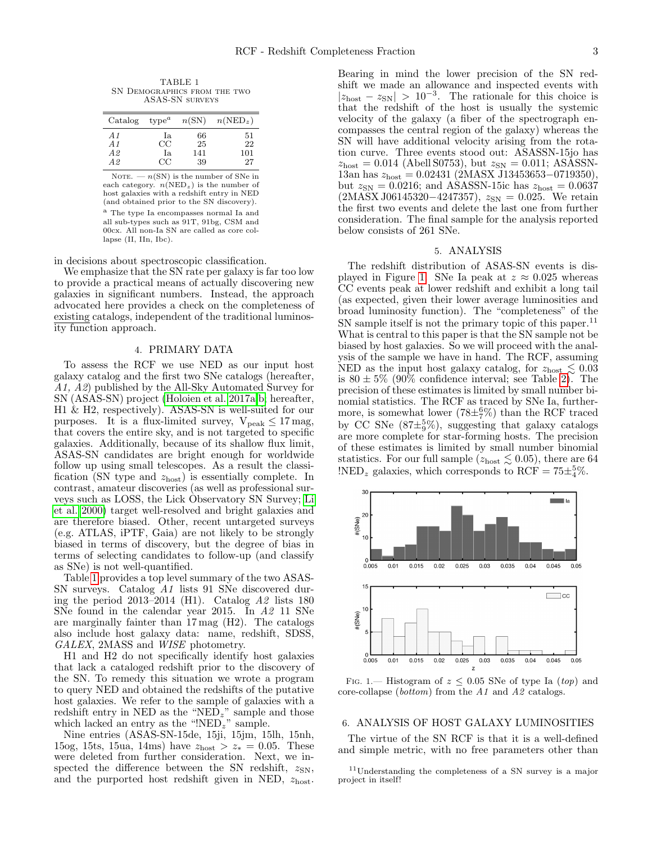<span id="page-2-0"></span>TABLE 1 SN Demographics from the two ASAS-SN surveys

| Catalog | $type^a$    | n(SN) | $n(NED_z)$ |
|---------|-------------|-------|------------|
| A 1     | Ia          | 66    | 51         |
| A1      | $_{\rm CC}$ | 25    | 22         |
| A2      | Ia          | 141   | 101        |
| A2      | CC          | 39    | 27         |

NOTE.  $- n(SN)$  is the number of SNe in each category.  $n(NED_z)$  is the number of host galaxies with a redshift entry in NED (and obtained prior to the SN discovery). <sup>a</sup> The type Ia encompasses normal Ia and all sub-types such as 91T, 91bg, CSM and 00cx. All non-Ia SN are called as core collapse (II, IIn, Ibc).

in decisions about spectroscopic classification.

We emphasize that the SN rate per galaxy is far too low to provide a practical means of actually discovering new galaxies in significant numbers. Instead, the approach advocated here provides a check on the completeness of existing catalogs, independent of the traditional luminosity function approach.

# 4. PRIMARY DATA

To assess the RCF we use NED as our input host galaxy catalog and the first two SNe catalogs (hereafter, A1, A2) published by the All-Sky Automated Survey for SN (ASAS-SN) project [\(Holoien et al. 2017a,](#page-6-17)[b;](#page-6-6) hereafter, H1 & H2, respectively). ASAS-SN is well-suited for our purposes. It is a flux-limited survey,  $V_{\text{peak}} \leq 17 \,\text{mag}$ , that covers the entire sky, and is not targeted to specific galaxies. Additionally, because of its shallow flux limit, ASAS-SN candidates are bright enough for worldwide follow up using small telescopes. As a result the classification (SN type and  $z_{\text{host}}$ ) is essentially complete. In contrast, amateur discoveries (as well as professional surveys such as LOSS, the Lick Observatory SN Survey; [Li](#page-6-18) [et al. 2000\)](#page-6-18) target well-resolved and bright galaxies and are therefore biased. Other, recent untargeted surveys (e.g. ATLAS, iPTF, Gaia) are not likely to be strongly biased in terms of discovery, but the degree of bias in terms of selecting candidates to follow-up (and classify as SNe) is not well-quantified.

Table [1](#page-2-0) provides a top level summary of the two ASAS-SN surveys. Catalog A1 lists 91 SNe discovered during the period 2013–2014 (H1). Catalog  $A2$  lists 180 SNe found in the calendar year 2015. In A2 11 SNe are marginally fainter than 17 mag (H2). The catalogs also include host galaxy data: name, redshift, SDSS, GALEX, 2MASS and WISE photometry.

H1 and H2 do not specifically identify host galaxies that lack a cataloged redshift prior to the discovery of the SN. To remedy this situation we wrote a program to query NED and obtained the redshifts of the putative host galaxies. We refer to the sample of galaxies with a redshift entry in NED as the "NED<sub>z</sub>" sample and those which lacked an entry as the " $NED_z$ " sample.

Nine entries (ASAS-SN-15de, 15ji, 15jm, 15lh, 15nh, 15og, 15ts, 15ua, 14ms) have  $z_{\text{host}} > z_* = 0.05$ . These were deleted from further consideration. Next, we inspected the difference between the SN redshift,  $z_{SN}$ , and the purported host redshift given in NED,  $z_{\text{host}}$ .

Bearing in mind the lower precision of the SN redshift we made an allowance and inspected events with  $|z_{\text{host}} - z_{\text{SN}}| > 10^{-3}$ . The rationale for this choice is that the redshift of the host is usually the systemic velocity of the galaxy (a fiber of the spectrograph encompasses the central region of the galaxy) whereas the SN will have additional velocity arising from the rotation curve. Three events stood out: ASASSN-15jo has  $z_{\text{host}} = 0.014$  (Abell S0753), but  $z_{\text{SN}} = 0.011$ ; ASASSN-13an has  $z_{\text{host}} = 0.02431$  (2MASX J13453653-0719350), but  $z_{SN} = 0.0216$ ; and ASASSN-15ic has  $z_{host} = 0.0637$  $(2MASX J06145320-4247357), z_{SN} = 0.025.$  We retain the first two events and delete the last one from further consideration. The final sample for the analysis reported below consists of 261 SNe.

# 5. ANALYSIS

The redshift distribution of ASAS-SN events is dis-played in Figure [1.](#page-2-1) SNe Ia peak at  $z \approx 0.025$  whereas CC events peak at lower redshift and exhibit a long tail (as expected, given their lower average luminosities and broad luminosity function). The "completeness" of the SN sample itself is not the primary topic of this paper.<sup>11</sup> What is central to this paper is that the SN sample not be biased by host galaxies. So we will proceed with the analysis of the sample we have in hand. The RCF, assuming NED as the input host galaxy catalog, for  $z_{\text{host}} \lesssim 0.03$ is  $80 \pm 5\%$  (90% confidence interval; see Table [2\)](#page-3-0). The precision of these estimates is limited by small number binomial statistics. The RCF as traced by SNe Ia, furthermore, is somewhat lower  $(78\pm\frac{6}{7})$  than the RCF traced by CC SNe  $(87\pm\frac{5}{9}\%)$ , suggesting that galaxy catalogs are more complete for star-forming hosts. The precision of these estimates is limited by small number binomial statistics. For our full sample ( $z_{\text{host}} \lesssim 0.05$ ), there are 64  $\text{NED}_z$  galaxies, which corresponds to RCF =  $75\pm\frac{5}{4}\%$ .



<span id="page-2-1"></span>Fig. 1.— Histogram of  $z \leq 0.05$  SNe of type Ia (top) and core-collapse (bottom) from the A1 and A2 catalogs.

#### 6. ANALYSIS OF HOST GALAXY LUMINOSITIES

The virtue of the SN RCF is that it is a well-defined and simple metric, with no free parameters other than

<sup>11</sup>Understanding the completeness of a SN survey is a major project in itself!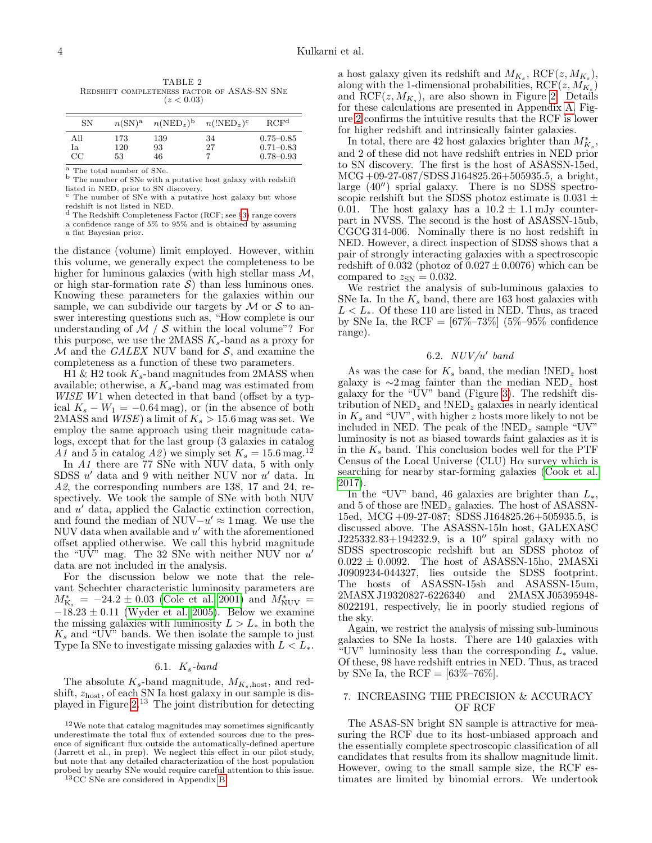<span id="page-3-0"></span>

| TABLE 2 |                                             |            |  |  |  |  |  |
|---------|---------------------------------------------|------------|--|--|--|--|--|
|         | REDSHIFT COMPLETENESS FACTOR OF ASAS-SN SNE |            |  |  |  |  |  |
|         |                                             | (z < 0.03) |  |  |  |  |  |

| SN          | $n(SN)^a$ | $n(\text{NED}_z)^b$ | $n(\text{INED}_z)^c$ | RCF <sup>d</sup> |
|-------------|-----------|---------------------|----------------------|------------------|
| All         | 173       | 139                 | 34                   | $0.75 - 0.85$    |
| Ia          | 120       | 93                  | 27                   | $0.71 - 0.83$    |
| $_{\rm CC}$ | 53        | 46                  |                      | $0.78 - 0.93$    |

 $\overline{a}$  The total number of SNe.

<sup>b</sup> The number of SNe with a putative host galaxy with redshift listed in NED, prior to SN discovery.

The number of SNe with a putative host galaxy but whose redshift is not listed in NED.<br>d The D. 1116.

The Redshift Completeness Factor (RCF; see §[3\)](#page-1-0) range covers

a confidence range of 5% to 95% and is obtained by assuming

a flat Bayesian prior.

the distance (volume) limit employed. However, within this volume, we generally expect the completeness to be higher for luminous galaxies (with high stellar mass  $\mathcal{M}$ , or high star-formation rate  $\mathcal{S}$ ) than less luminous ones. Knowing these parameters for the galaxies within our sample, we can subdivide our targets by  $\mathcal M$  or  $\mathcal S$  to answer interesting questions such as, "How complete is our understanding of  $\mathcal{M} / \mathcal{S}$  within the local volume"? For this purpose, we use the 2MASS  $K_s$ -band as a proxy for  $M$  and the *GALEX* NUV band for  $S$ , and examine the completeness as a function of these two parameters.

H1 & H2 took  $K_s$ -band magnitudes from 2MASS when available; otherwise, a  $K_s$ -band mag was estimated from  $WISE$  W1 when detected in that band (offset by a typical  $K_s - W_1 = -0.64 \text{ mag}$ , or (in the absence of both 2MASS and *WISE*) a limit of  $K_s > 15.6$  mag was set. We employ the same approach using their magnitude catalogs, except that for the last group (3 galaxies in catalog A1 and 5 in catalog A2) we simply set  $K_s = 15.6$  mag.<sup>12</sup>

In  $A1$  there are  $77$  SNe with NUV data, 5 with only SDSS  $u'$  data and 9 with neither NUV nor  $u'$  data. In A2, the corresponding numbers are 138, 17 and 24, respectively. We took the sample of SNe with both NUV and  $u'$  data, applied the Galactic extinction correction, and found the median of  $NUV-u' \approx 1$  mag. We use the NUV data when available and  $u'$  with the aforementioned offset applied otherwise. We call this hybrid magnitude the "UV" mag. The 32 SNe with neither NUV nor  $u'$ data are not included in the analysis.

For the discussion below we note that the relevant Schechter characteristic luminosity parameters are  $M_{\rm K_s}^* = -24.2 \pm 0.03$  [\(Cole et al. 2001\)](#page-6-19) and  $M_{\rm NUV}^* =$  $-18.23 \pm 0.11$  [\(Wyder et al. 2005\)](#page-6-20). Below we examine the missing galaxies with luminosity  $L > L_*$  in both the  $K_s$  and "UV" bands. We then isolate the sample to just Type Ia SNe to investigate missing galaxies with  $L < L_*$ .

# 6.1.  $K_s$ -band

The absolute  $K_s$ -band magnitude,  $M_{K_s, \text{host}}$ , and redshift,  $z_{\text{host}}$ , of each SN Ia host galaxy in our sample is displayed in Figure [2.](#page-4-0)<sup>13</sup> The joint distribution for detecting

a host galaxy given its redshift and  $M_{K_s}$ , RCF $(z, M_{K_s})$ , along with the 1-dimensional probabilities,  $RCF(z, M_{K_s})$ and  $\mathrm{RCF}(z, M_{K_s})$ , are also shown in Figure [2.](#page-4-0) Details for these calculations are presented in Appendix [A.](#page-6-21) Figure [2](#page-4-0) confirms the intuitive results that the RCF is lower for higher redshift and intrinsically fainter galaxies.

In total, there are 42 host galaxies brighter than  $M^\ast_{K_s},$ and 2 of these did not have redshift entries in NED prior to SN discovery. The first is the host of ASASSN-15ed, MCG +09-27-087/SDSS J164825.26+505935.5, a bright, large  $(40'')$  sprial galaxy. There is no SDSS spectroscopic redshift but the SDSS photoz estimate is 0.031  $\pm$ 0.01. The host galaxy has a  $10.2 \pm 1.1$  mJy counterpart in NVSS. The second is the host of ASASSN-15ub, CGCG 314-006. Nominally there is no host redshift in NED. However, a direct inspection of SDSS shows that a pair of strongly interacting galaxies with a spectroscopic redshift of 0.032 (photoz of  $0.027 \pm 0.0076$ ) which can be compared to  $z_{SN} = 0.032$ .

We restrict the analysis of sub-luminous galaxies to SNe Ia. In the  $K_s$  band, there are 163 host galaxies with  $L < L_*$ . Of these 110 are listed in NED. Thus, as traced by SNe Ia, the RCF =  $[67\% - 73\%]$  (5%–95% confidence range).

# 6.2.  $NUV/u'$  band

As was the case for  $K_s$  band, the median  $!{\rm NED}_z$  host galaxy is  $\sim$ 2 mag fainter than the median NED<sub>z</sub> host galaxy for the "UV" band (Figure [3\)](#page-5-0). The redshift distribution of  $NED_z$  and  $NED_z$  galaxies in nearly identical in  $K_s$  and "UV", with higher z hosts more likely to not be included in NED. The peak of the  $!NED_z$  sample "UV" luminosity is not as biased towards faint galaxies as it is in the  $K_s$  band. This conclusion bodes well for the PTF Census of the Local Universe (CLU)  $H\alpha$  survey which is searching for nearby star-forming galaxies [\(Cook et al.](#page-6-22) [2017\)](#page-6-22).

In the "UV" band, 46 galaxies are brighter than  $L_*,$ and 5 of those are  $!NED_z$  galaxies. The host of ASASSN-15ed, MCG +09-27-087; SDSS J164825.26+505935.5, is discussed above. The ASASSN-15ln host, GALEXASC  $J225332.83+194232.9$ , is a  $10''$  spiral galaxy with no SDSS spectroscopic redshift but an SDSS photoz of 0.022 ± 0.0092. The host of ASASSN-15ho, 2MASXi J0909234-044327, lies outside the SDSS footprint. The hosts of ASASSN-15sh and ASASSN-15um, 2MASX J19320827-6226340 and 2MASX J05395948- 8022191, respectively, lie in poorly studied regions of the sky.

Again, we restrict the analysis of missing sub-luminous galaxies to SNe Ia hosts. There are 140 galaxies with "UV" luminosity less than the corresponding  $L_*$  value. Of these, 98 have redshift entries in NED. Thus, as traced by SNe Ia, the RCF =  $[63\% - 76\%]$ .

## 7. INCREASING THE PRECISION & ACCURACY OF RCF

The ASAS-SN bright SN sample is attractive for measuring the RCF due to its host-unbiased approach and the essentially complete spectroscopic classification of all candidates that results from its shallow magnitude limit. However, owing to the small sample size, the RCF estimates are limited by binomial errors. We undertook

 $^{12}\mathrm{We}$  note that catalog magnitudes may sometimes significantly underestimate the total flux of extended sources due to the presence of significant flux outside the automatically-defined aperture (Jarrett et al., in prep). We neglect this effect in our pilot study, but note that any detailed characterization of the host population probed by nearby SNe would require careful attention to this issue.

<sup>13</sup>CC SNe are considered in Appendix [B.](#page-7-0)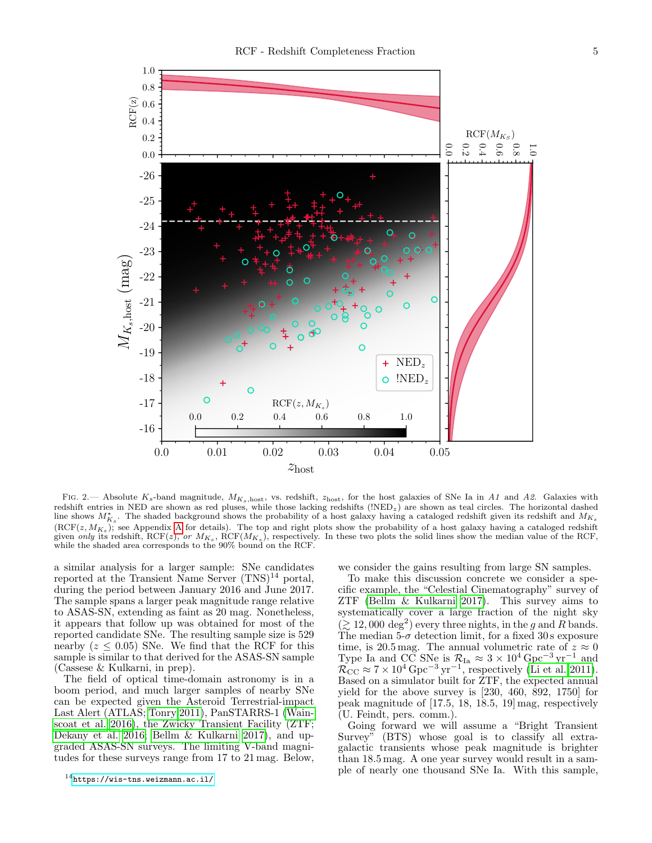

<span id="page-4-0"></span>FIG. 2.— Absolute K<sub>s</sub>-band magnitude,  $M_{K_s, \text{host}}$ , vs. redshift,  $z_{\text{host}}$ , for the host galaxies of SNe Ia in A1 and A2. Galaxies with redshift entries in NED are shown as red pluses, while those lacking redshifts (!NEDz) are shown as teal circles. The horizontal dashed line shows  $M_{K_s}^*$ . The shaded background shows the probability of a host galaxy having a cataloged redshift given its redshift and  $M_{K_s}$  $(\mathrm{RCF}(z, M_{K_s})$ ; see [A](#page-6-21)ppendix A for details). The top and right plots show the probability of a host galaxy having a cataloged redshift given only its redshift, RCF(z), or  $M_{K_s}$ , RCF( $M_{K_s}$ ), respectively. In these two plots the solid lines show the median value of the RCF, while the shaded area corresponds to the 90% bound on the RCF.

a similar analysis for a larger sample: SNe candidates reported at the Transient Name Server  $(TNS)^{14}$  portal, during the period between January 2016 and June 2017. The sample spans a larger peak magnitude range relative to ASAS-SN, extending as faint as 20 mag. Nonetheless, it appears that follow up was obtained for most of the reported candidate SNe. The resulting sample size is 529 nearby  $(z \leq 0.05)$  SNe. We find that the RCF for this sample is similar to that derived for the ASAS-SN sample (Cassese & Kulkarni, in prep).

The field of optical time-domain astronomy is in a boom period, and much larger samples of nearby SNe can be expected given the Asteroid Terrestrial-impact Last Alert (ATLAS; [Tonry 2011\)](#page-6-23), PanSTARRS-1 [\(Wain](#page-6-24)[scoat et al. 2016\)](#page-6-24), the Zwicky Transient Facility (ZTF; [Dekany et al. 2016;](#page-6-25) [Bellm & Kulkarni 2017\)](#page-6-26), and upgraded ASAS-SN surveys. The limiting V-band magnitudes for these surveys range from 17 to 21 mag. Below,

 $14$ <https://wis-tns.weizmann.ac.il/>

we consider the gains resulting from large SN samples.

To make this discussion concrete we consider a specific example, the "Celestial Cinematography" survey of ZTF [\(Bellm & Kulkarni 2017\)](#page-6-26). This survey aims to systematically cover a large fraction of the night sky  $(\gtrsim 12,000 \deg^2)$  every three nights, in the g and R bands. The median 5- $\sigma$  detection limit, for a fixed 30 s exposure time, is 20.5 mag. The annual volumetric rate of  $z \approx 0$ Type Ia and  $\overrightarrow{CC}$  SNe is  $\mathcal{R}_{Ia} \approx 3 \times 10^4 \,\text{Gpc}^{-3} \,\text{yr}^{-1}$  and  $\mathcal{R}_{\text{CC}} \approx 7 \times 10^4 \,\text{Gpc}^{-3} \,\text{yr}^{-1}$ , respectively [\(Li et al. 2011\)](#page-6-27). Based on a simulator built for ZTF, the expected annual yield for the above survey is [230, 460, 892, 1750] for peak magnitude of [17.5, 18, 18.5, 19] mag, respectively (U. Feindt, pers. comm.).

Going forward we will assume a "Bright Transient Survey" (BTS) whose goal is to classify all extragalactic transients whose peak magnitude is brighter than 18.5 mag. A one year survey would result in a sample of nearly one thousand SNe Ia. With this sample,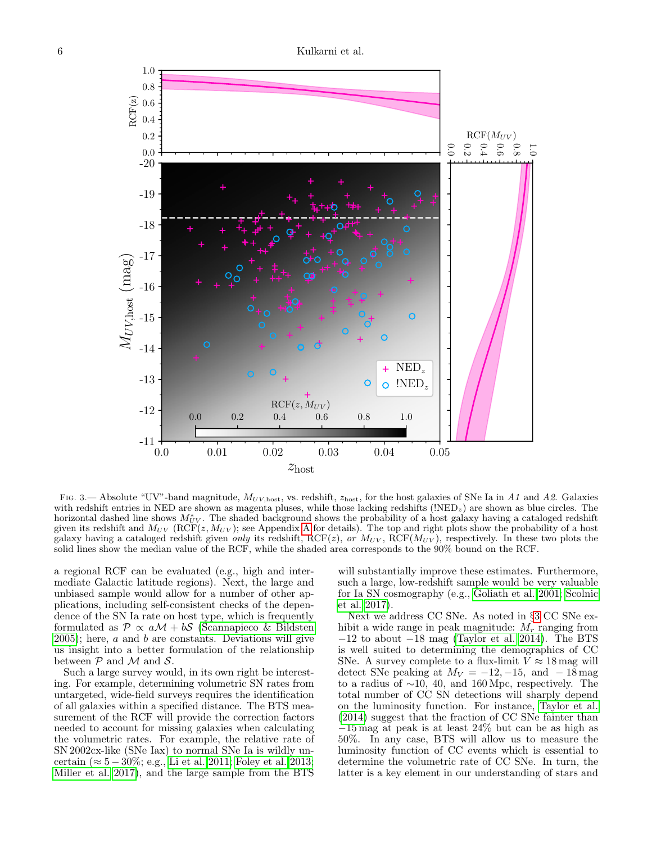

<span id="page-5-0"></span>Fig. 3.— Absolute "UV"-band magnitude,  $M_{UV,\text{host}}$ , vs. redshift,  $z_{\text{host}}$ , for the host galaxies of SNe Ia in A1 and A2. Galaxies with redshift entries in NED are shown as magenta pluses, while those lacking redshifts  $\langle \text{NED}_z \rangle$  are shown as blue circles. The horizontal dashed line shows  $M_{UV}^*$ . The shaded background shows the probability of a host galaxy having a cataloged redshift given its redshift and  $M_{UV}$  (RCF(z,  $M_{UV}$ ); see [A](#page-6-21)ppendix A for details). The top and right plots show the probability of a host galaxy having a cataloged redshift given only its redshift, RCF( $z$ ), or  $M_{UV}$ , RCF( $M_{UV}$ ), respectively. In these two plots the solid lines show the median value of the RCF, while the shaded area corresponds to the 90% bound on the RCF.

a regional RCF can be evaluated (e.g., high and intermediate Galactic latitude regions). Next, the large and unbiased sample would allow for a number of other applications, including self-consistent checks of the dependence of the SN Ia rate on host type, which is frequently formulated as  $\mathcal{P} \propto a\mathcal{M} + b\mathcal{S}$  [\(Scannapieco & Bildsten](#page-6-13)  $2005$ ; here,  $a$  and  $b$  are constants. Deviations will give us insight into a better formulation of the relationship between  $P$  and  $M$  and  $S$ .

Such a large survey would, in its own right be interesting. For example, determining volumetric SN rates from untargeted, wide-field surveys requires the identification of all galaxies within a specified distance. The BTS measurement of the RCF will provide the correction factors needed to account for missing galaxies when calculating the volumetric rates. For example, the relative rate of SN 2002cx-like (SNe Iax) to normal SNe Ia is wildly uncertain ( $\approx 5-30\%$ ; e.g., [Li et al. 2011;](#page-6-27) [Foley et al. 2013;](#page-6-28) [Miller et al. 2017\)](#page-6-29), and the large sample from the BTS

will substantially improve these estimates. Furthermore, such a large, low-redshift sample would be very valuable for Ia SN cosmography (e.g., [Goliath et al. 2001;](#page-6-30) [Scolnic](#page-6-31) [et al. 2017\)](#page-6-31).

Next we address CC SNe. As noted in §[3](#page-1-0) CC SNe exhibit a wide range in peak magnitude:  $M_r$  ranging from  $-12$  to about  $-18$  mag [\(Taylor et al. 2014\)](#page-6-15). The BTS is well suited to determining the demographics of CC SNe. A survey complete to a flux-limit  $V \approx 18 \,\text{mag}$  will detect SNe peaking at  $M_V = -12, -15, \text{ and } -18 \text{ mag}$ to a radius of  $\sim$ 10, 40, and 160 Mpc, respectively. The total number of CC SN detections will sharply depend on the luminosity function. For instance, [Taylor et al.](#page-6-15) [\(2014\)](#page-6-15) suggest that the fraction of CC SNe fainter than −15 mag at peak is at least 24% but can be as high as 50%. In any case, BTS will allow us to measure the luminosity function of CC events which is essential to determine the volumetric rate of CC SNe. In turn, the latter is a key element in our understanding of stars and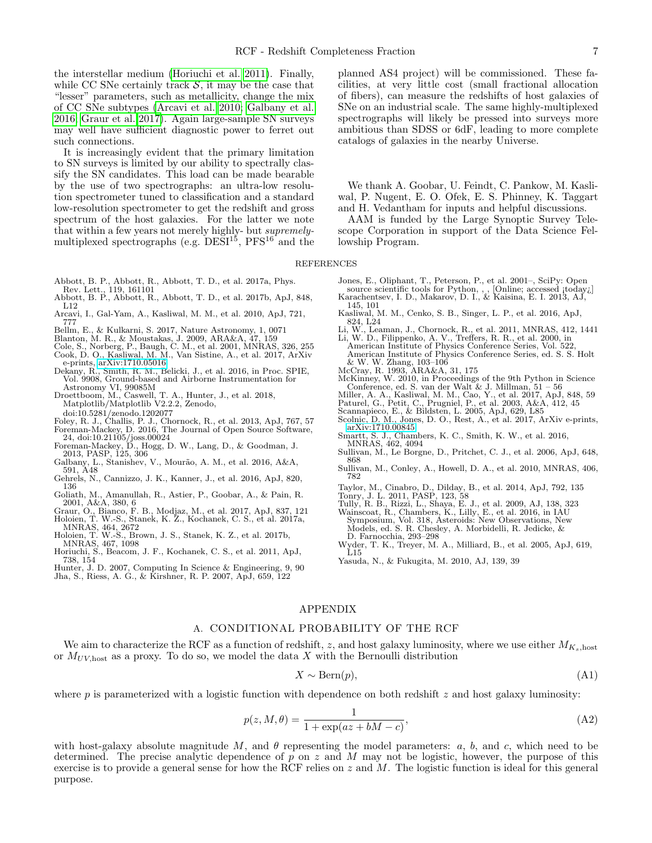the interstellar medium [\(Horiuchi et al. 2011\)](#page-6-32). Finally, while CC SNe certainly track  $S$ , it may be the case that "lesser" parameters, such as metallicity, change the mix of CC SNe subtypes [\(Arcavi et al. 2010;](#page-6-33) [Galbany et al.](#page-6-34) [2016;](#page-6-34) [Graur et al. 2017\)](#page-6-35). Again large-sample SN surveys may well have sufficient diagnostic power to ferret out such connections.

It is increasingly evident that the primary limitation to SN surveys is limited by our ability to spectrally classify the SN candidates. This load can be made bearable by the use of two spectrographs: an ultra-low resolution spectrometer tuned to classification and a standard low-resolution spectrometer to get the redshift and gross spectrum of the host galaxies. For the latter we note that within a few years not merely highly- but supremelymultiplexed spectrographs (e.g.  $\overline{DESI^{15}}$ ,  $\overline{PFS^{16}}$  and the

- <span id="page-6-1"></span>Abbott, B. P., Abbott, R., Abbott, T. D., et al. 2017a, Phys. Rev. Lett., 119, 161101
- <span id="page-6-2"></span>Abbott, B. P., Abbott, R., Abbott, T. D., et al. 2017b, ApJ, 848, L12
- <span id="page-6-33"></span>Arcavi, I., Gal-Yam, A., Kasliwal, M. M., et al. 2010, ApJ, 721, 777 Bellm, E., & Kulkarni, S. 2017, Nature Astronomy, 1, 0071
- <span id="page-6-26"></span>
- <span id="page-6-22"></span><span id="page-6-19"></span>
- <span id="page-6-7"></span>Blanton, M. R., & Moustakas, J. 2009, ARA&A, 47, 159 Cole, S., Norberg, P., Baugh, C. M., et al. 2001, MNRAS, 326, 255 Cook, D. O., Kasliwal, M. M., Van Sistine, A., et al. 2017, ArXiv e-prints, [arXiv:1710.05016](http://arxiv.org/abs/1710.05016)
- <span id="page-6-25"></span>Dekany, R., Smith, R. M., Belicki, J., et al. 2016, in Proc. SPIE,
- Vol. 9908, Ground-based and Airborne Instrumentation for
- Astronomy VI, 99085M Droettboom, M., Caswell, T. A., Hunter, J., et al. 2018, Matplotlib/Matplotlib V2.2.2, Zenodo, doi:10.5281/zenodo.1202077
- <span id="page-6-28"></span>Foley, R. J., Challis, P. J., Chornock, R., et al. 2013, ApJ, 767, 57 Foreman-Mackey, D. 2016, The Journal of Open Source Software,
- 
- <span id="page-6-36"></span>24, doi:10.21105/joss.00024 Foreman-Mackey, D., Hogg, D. W., Lang, D., & Goodman, J. 2013, PASP, 125, 306
- <span id="page-6-34"></span>Galbany, L., Stanishev, V., Mourão, A. M., et al. 2016, A&A, 591, A48
- <span id="page-6-5"></span>Gehrels, N., Cannizzo, J. K., Kanner, J., et al. 2016, ApJ, 820, 136
- <span id="page-6-30"></span>Goliath, M., Amanullah, R., Astier, P., Goobar, A., & Pain, R. 2001, A&A, 380, 6
- <span id="page-6-17"></span>
- <span id="page-6-35"></span>Graur, O., Bianco, F. B., Modjaz, M., et al. 2017, ApJ, 837, 121<br>Holoien, T. W.-S., Stanek, K. Z., Kochanek, C. S., et al. 2017a,<br>MNRAS, 464, 2672<br>Holoien, T. W.-S., Brown, J. S., Stanek, K. Z., et al. 2017b,<br>MNRAS, 467, 1
- <span id="page-6-32"></span><span id="page-6-6"></span>Horiuchi, S., Beacom, J. F., Kochanek, C. S., et al. 2011, ApJ,
- 738, 154
- <span id="page-6-11"></span>Hunter, J. D. 2007, Computing In Science & Engineering, 9, 90 Jha, S., Riess, A. G., & Kirshner, R. P. 2007, ApJ, 659, 122

planned AS4 project) will be commissioned. These facilities, at very little cost (small fractional allocation of fibers), can measure the redshifts of host galaxies of SNe on an industrial scale. The same highly-multiplexed spectrographs will likely be pressed into surveys more ambitious than SDSS or 6dF, leading to more complete catalogs of galaxies in the nearby Universe.

We thank A. Goobar, U. Feindt, C. Pankow, M. Kasliwal, P. Nugent, E. O. Ofek, E. S. Phinney, K. Taggart and H. Vedantham for inputs and helpful discussions.

AAM is funded by the Large Synoptic Survey Telescope Corporation in support of the Data Science Fellowship Program.

REFERENCES

- Jones, E., Oliphant, T., Peterson, P., et al. 2001–, SciPy: Open source scientific tools for Python, , , [Online; accessed *itoday<sub>i</sub>*] Karachentsev, I. D., Makarov, D. I., & Kaisina, E. I. 2013, AJ,
- <span id="page-6-8"></span><span id="page-6-3"></span>145, 101 Kasliwal, M. M., Cenko, S. B., Singer, L. P., et al. 2016, ApJ, 824, L24
- <span id="page-6-27"></span><span id="page-6-18"></span>Li, W., Leaman, J., Chornock, R., et al. 2011, MNRAS, 412, 1441 Li, W. D., Filippenko, A. V., Treffers, R. R., et al. 2000, in American Institute of Physics Conference Series, Vol. 522,
- American Institute of Physics Conference Series, ed. S. S. Holt & W. W. Zhang, 103–106
- <span id="page-6-0"></span>McCray, R. 1993, ARA&A, 31, 175
- McKinney, W. 2010, in Proceedings of the 9th Python in Science
- <span id="page-6-29"></span>Conference, ed. S. van der Walt & J. Millman, 51 – 56 Miller, A. A., Kasliwal, M. M., Cao, Y., et al. 2017, ApJ, 848, 59 Paturel, G., Petit, C., Prugniel, P., et al. 2003, A&A, 412, 45
- <span id="page-6-31"></span><span id="page-6-13"></span><span id="page-6-10"></span>
- Scannapieco, E., & Bildsten, L. 2005, ApJ, 629, L85 Scolnic, D. M., Jones, D. O., Rest, A., et al. 2017, ArXiv e-prints, [arXiv:1710.00845](http://arxiv.org/abs/1710.00845)
- <span id="page-6-4"></span>Smartt, S. J., Chambers, K. C., Smith, K. W., et al. 2016, MNRAS, 462, 4094
- <span id="page-6-14"></span>Sullivan, M., Le Borgne, D., Pritchet, C. J., et al. 2006, ApJ, 648,
- <span id="page-6-16"></span>868 Sullivan, M., Conley, A., Howell, D. A., et al. 2010, MNRAS, 406, 782
- <span id="page-6-15"></span>Taylor, M., Cinabro, D., Dilday, B., et al. 2014, ApJ, 792, 135
- 
- <span id="page-6-24"></span><span id="page-6-23"></span><span id="page-6-9"></span>Tonry, J. L. 2011, PASP, 123, 58 Tully, R. B., Rizzi, L., Shaya, E. J., et al. 2009, AJ, 138, 323 Wainscoat, R., Chambers, K., Lilly, E., et al. 2016, in IAU Symposium, Vol. 318, Asteroids: New Observations, New Models, ed. S. R. Chesley, A. Morbidelli, R. Jedicke, & D. Farnocchia, 293–298
- <span id="page-6-20"></span>Wyder, T. K., Treyer, M. A., Milliard, B., et al. 2005, ApJ, 619,  $\rm \tilde{L}15$
- <span id="page-6-12"></span>Yasuda, N., & Fukugita, M. 2010, AJ, 139, 39

# APPENDIX

#### A. CONDITIONAL PROBABILITY OF THE RCF

<span id="page-6-21"></span>We aim to characterize the RCF as a function of redshift, z, and host galaxy luminosity, where we use either  $M_{K_s, \text{host}}$ or  $M_{UV\text{host}}$  as a proxy. To do so, we model the data X with the Bernoulli distribution

$$
X \sim \text{Bern}(p),\tag{A1}
$$

where p is parameterized with a logistic function with dependence on both redshift  $z$  and host galaxy luminosity:

$$
p(z, M, \theta) = \frac{1}{1 + \exp(az + bM - c)},
$$
\n(A2)

with host-galaxy absolute magnitude M, and  $\theta$  representing the model parameters: a, b, and c, which need to be determined. The precise analytic dependence of p on z and M may not be logistic, however, the purpose of this exercise is to provide a general sense for how the RCF relies on  $z$  and  $M$ . The logistic function is ideal for this general purpose.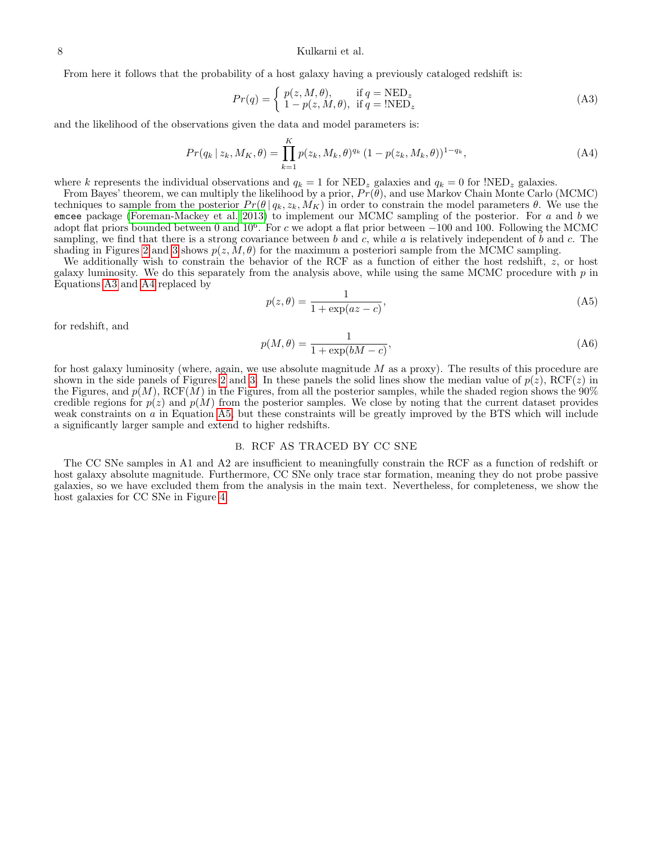8 Kulkarni et al.

From here it follows that the probability of a host galaxy having a previously cataloged redshift is:

<span id="page-7-2"></span><span id="page-7-1"></span>
$$
Pr(q) = \begin{cases} p(z, M, \theta), & \text{if } q = \text{NED}_z \\ 1 - p(z, M, \theta), & \text{if } q = !\text{NED}_z \end{cases}
$$
(A3)

and the likelihood of the observations given the data and model parameters is:

$$
Pr(q_k | z_k, M_K, \theta) = \prod_{k=1}^K p(z_k, M_k, \theta)^{q_k} (1 - p(z_k, M_k, \theta))^{1 - q_k},
$$
\n(A4)

where k represents the individual observations and  $q_k = 1$  for  $NED_z$  galaxies and  $q_k = 0$  for  $NED_z$  galaxies.

From Bayes' theorem, we can multiply the likelihood by a prior,  $Pr(\theta)$ , and use Markov Chain Monte Carlo (MCMC) techniques to sample from the posterior  $Pr(\theta | q_k, z_k, M_K)$  in order to constrain the model parameters  $\theta$ . We use the emcee package [\(Foreman-Mackey et al. 2013\)](#page-6-36) to implement our MCMC sampling of the posterior. For  $a$  and  $b$  we adopt flat priors bounded between 0 and  $10^6$ . For c we adopt a flat prior between  $-100$  and 100. Following the MCMC sampling, we find that there is a strong covariance between b and c, while a is relatively independent of b and c. The shading in Figures [2](#page-4-0) and [3](#page-5-0) shows  $p(z, M, \theta)$  for the maximum a posteriori sample from the MCMC sampling.

We additionally wish to constrain the behavior of the RCF as a function of either the host redshift, z, or host galaxy luminosity. We do this separately from the analysis above, while using the same MCMC procedure with  $p$  in Equations [A3](#page-7-1) and [A4](#page-7-2) replaced by

<span id="page-7-3"></span>
$$
p(z,\theta) = \frac{1}{1 + \exp(az - c)},\tag{A5}
$$

for redshift, and

$$
p(M, \theta) = \frac{1}{1 + \exp(bM - c)},
$$
\n(A6)

for host galaxy luminosity (where, again, we use absolute magnitude  $M$  as a proxy). The results of this procedure are shown in the side panels of Figures [2](#page-4-0) and [3.](#page-5-0) In these panels the solid lines show the median value of  $p(z)$ , RCF(z) in the Figures, and  $p(M)$ , RCF(M) in the Figures, from all the posterior samples, while the shaded region shows the 90% credible regions for  $p(z)$  and  $p(M)$  from the posterior samples. We close by noting that the current dataset provides weak constraints on a in Equation [A5,](#page-7-3) but these constraints will be greatly improved by the BTS which will include a significantly larger sample and extend to higher redshifts.

# B. RCF AS TRACED BY CC SNE

<span id="page-7-0"></span>The CC SNe samples in A1 and A2 are insufficient to meaningfully constrain the RCF as a function of redshift or host galaxy absolute magnitude. Furthermore, CC SNe only trace star formation, meaning they do not probe passive galaxies, so we have excluded them from the analysis in the main text. Nevertheless, for completeness, we show the host galaxies for CC SNe in Figure [4.](#page-8-0)